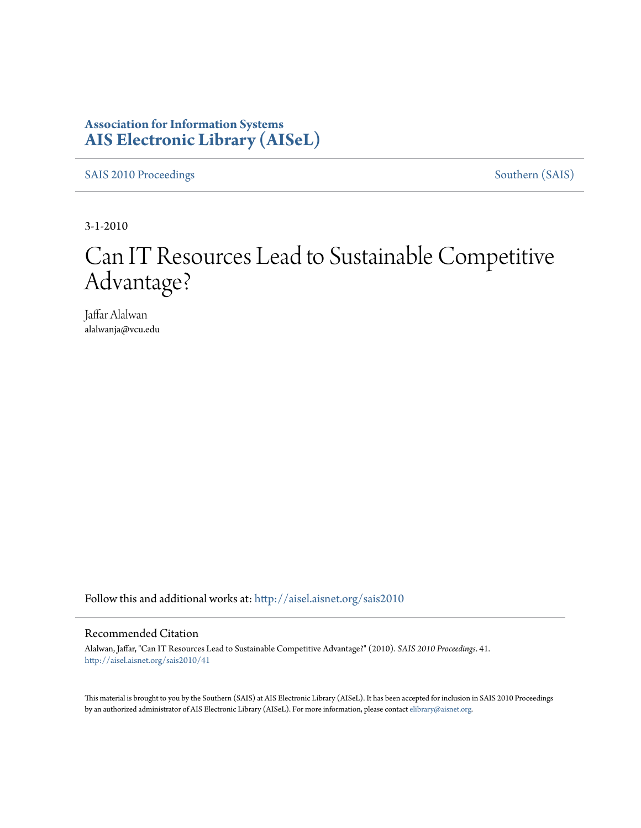### **Association for Information Systems [AIS Electronic Library \(AISeL\)](http://aisel.aisnet.org?utm_source=aisel.aisnet.org%2Fsais2010%2F41&utm_medium=PDF&utm_campaign=PDFCoverPages)**

[SAIS 2010 Proceedings](http://aisel.aisnet.org/sais2010?utm_source=aisel.aisnet.org%2Fsais2010%2F41&utm_medium=PDF&utm_campaign=PDFCoverPages) [Southern \(SAIS\)](http://aisel.aisnet.org/sais?utm_source=aisel.aisnet.org%2Fsais2010%2F41&utm_medium=PDF&utm_campaign=PDFCoverPages)

3-1-2010

# Can IT Resources Lead to Sustainable Competitive Advantage?

Jaffar Alalwan alalwanja@vcu.edu

Follow this and additional works at: [http://aisel.aisnet.org/sais2010](http://aisel.aisnet.org/sais2010?utm_source=aisel.aisnet.org%2Fsais2010%2F41&utm_medium=PDF&utm_campaign=PDFCoverPages)

#### Recommended Citation

Alalwan, Jaffar, "Can IT Resources Lead to Sustainable Competitive Advantage?" (2010). *SAIS 2010 Proceedings*. 41. [http://aisel.aisnet.org/sais2010/41](http://aisel.aisnet.org/sais2010/41?utm_source=aisel.aisnet.org%2Fsais2010%2F41&utm_medium=PDF&utm_campaign=PDFCoverPages)

This material is brought to you by the Southern (SAIS) at AIS Electronic Library (AISeL). It has been accepted for inclusion in SAIS 2010 Proceedings by an authorized administrator of AIS Electronic Library (AISeL). For more information, please contact [elibrary@aisnet.org](mailto:elibrary@aisnet.org%3E).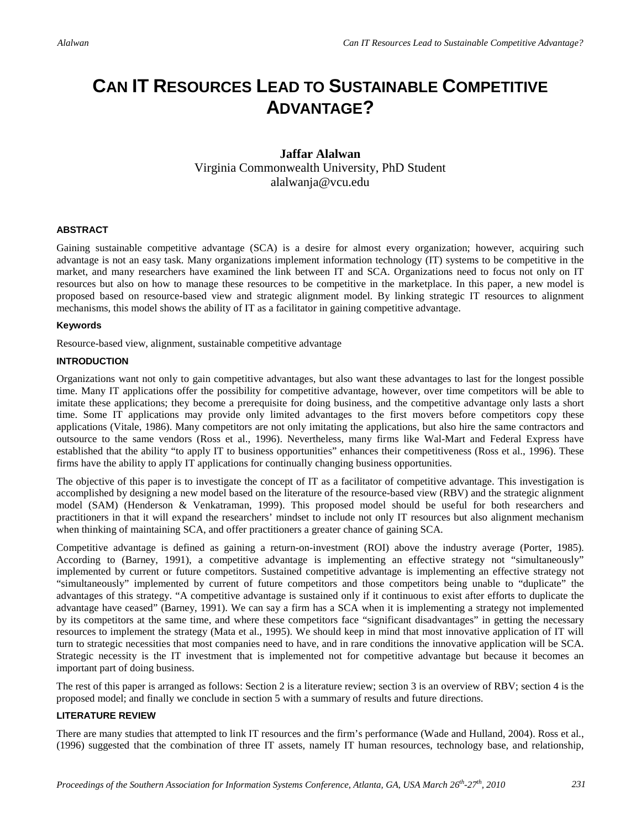## **CAN IT RESOURCES LEAD TO SUSTAINABLE COMPETITIVE ADVANTAGE?**

#### **Jaffar Alalwan**  Virginia Commonwealth University, PhD Student alalwanja@vcu.edu

#### **ABSTRACT**

Gaining sustainable competitive advantage (SCA) is a desire for almost every organization; however, acquiring such advantage is not an easy task. Many organizations implement information technology (IT) systems to be competitive in the market, and many researchers have examined the link between IT and SCA. Organizations need to focus not only on IT resources but also on how to manage these resources to be competitive in the marketplace. In this paper, a new model is proposed based on resource-based view and strategic alignment model. By linking strategic IT resources to alignment mechanisms, this model shows the ability of IT as a facilitator in gaining competitive advantage.

#### **Keywords**

Resource-based view, alignment, sustainable competitive advantage

#### **INTRODUCTION**

Organizations want not only to gain competitive advantages, but also want these advantages to last for the longest possible time. Many IT applications offer the possibility for competitive advantage, however, over time competitors will be able to imitate these applications; they become a prerequisite for doing business, and the competitive advantage only lasts a short time. Some IT applications may provide only limited advantages to the first movers before competitors copy these applications (Vitale, 1986). Many competitors are not only imitating the applications, but also hire the same contractors and outsource to the same vendors (Ross et al., 1996). Nevertheless, many firms like Wal-Mart and Federal Express have established that the ability "to apply IT to business opportunities" enhances their competitiveness (Ross et al., 1996). These firms have the ability to apply IT applications for continually changing business opportunities.

The objective of this paper is to investigate the concept of IT as a facilitator of competitive advantage. This investigation is accomplished by designing a new model based on the literature of the resource-based view (RBV) and the strategic alignment model (SAM) (Henderson & Venkatraman, 1999). This proposed model should be useful for both researchers and practitioners in that it will expand the researchers' mindset to include not only IT resources but also alignment mechanism when thinking of maintaining SCA, and offer practitioners a greater chance of gaining SCA.

Competitive advantage is defined as gaining a return-on-investment (ROI) above the industry average (Porter, 1985). According to (Barney, 1991), a competitive advantage is implementing an effective strategy not "simultaneously" implemented by current or future competitors. Sustained competitive advantage is implementing an effective strategy not "simultaneously" implemented by current of future competitors and those competitors being unable to "duplicate" the advantages of this strategy. "A competitive advantage is sustained only if it continuous to exist after efforts to duplicate the advantage have ceased" (Barney, 1991). We can say a firm has a SCA when it is implementing a strategy not implemented by its competitors at the same time, and where these competitors face "significant disadvantages" in getting the necessary resources to implement the strategy (Mata et al., 1995). We should keep in mind that most innovative application of IT will turn to strategic necessities that most companies need to have, and in rare conditions the innovative application will be SCA. Strategic necessity is the IT investment that is implemented not for competitive advantage but because it becomes an important part of doing business.

The rest of this paper is arranged as follows: Section 2 is a literature review; section 3 is an overview of RBV; section 4 is the proposed model; and finally we conclude in section 5 with a summary of results and future directions.

#### **LITERATURE REVIEW**

There are many studies that attempted to link IT resources and the firm's performance (Wade and Hulland, 2004). Ross et al., (1996) suggested that the combination of three IT assets, namely IT human resources, technology base, and relationship,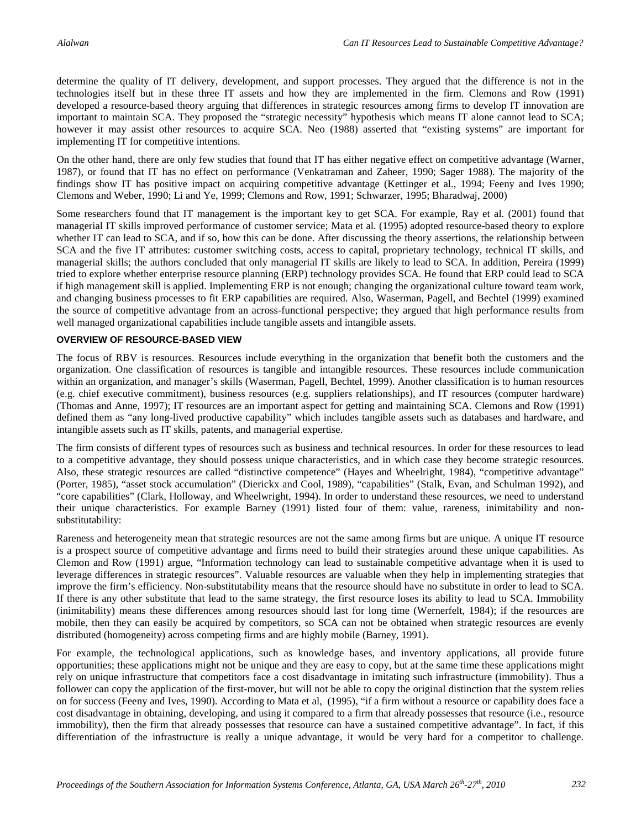determine the quality of IT delivery, development, and support processes. They argued that the difference is not in the technologies itself but in these three IT assets and how they are implemented in the firm. Clemons and Row (1991) developed a resource-based theory arguing that differences in strategic resources among firms to develop IT innovation are important to maintain SCA. They proposed the "strategic necessity" hypothesis which means IT alone cannot lead to SCA; however it may assist other resources to acquire SCA. Neo (1988) asserted that "existing systems" are important for implementing IT for competitive intentions.

On the other hand, there are only few studies that found that IT has either negative effect on competitive advantage (Warner, 1987), or found that IT has no effect on performance (Venkatraman and Zaheer, 1990; Sager 1988). The majority of the findings show IT has positive impact on acquiring competitive advantage (Kettinger et al., 1994; Feeny and Ives 1990; Clemons and Weber, 1990; Li and Ye, 1999; Clemons and Row, 1991; Schwarzer, 1995; Bharadwaj, 2000)

Some researchers found that IT management is the important key to get SCA. For example, Ray et al. (2001) found that managerial IT skills improved performance of customer service; Mata et al. (1995) adopted resource-based theory to explore whether IT can lead to SCA, and if so, how this can be done. After discussing the theory assertions, the relationship between SCA and the five IT attributes: customer switching costs, access to capital, proprietary technology, technical IT skills, and managerial skills; the authors concluded that only managerial IT skills are likely to lead to SCA. In addition, Pereira (1999) tried to explore whether enterprise resource planning (ERP) technology provides SCA. He found that ERP could lead to SCA if high management skill is applied. Implementing ERP is not enough; changing the organizational culture toward team work, and changing business processes to fit ERP capabilities are required. Also, Waserman, Pagell, and Bechtel (1999) examined the source of competitive advantage from an across-functional perspective; they argued that high performance results from well managed organizational capabilities include tangible assets and intangible assets.

#### **OVERVIEW OF RESOURCE-BASED VIEW**

The focus of RBV is resources. Resources include everything in the organization that benefit both the customers and the organization. One classification of resources is tangible and intangible resources. These resources include communication within an organization, and manager's skills (Waserman, Pagell, Bechtel, 1999). Another classification is to human resources (e.g. chief executive commitment), business resources (e.g. suppliers relationships), and IT resources (computer hardware) (Thomas and Anne, 1997); IT resources are an important aspect for getting and maintaining SCA. Clemons and Row (1991) defined them as "any long-lived productive capability" which includes tangible assets such as databases and hardware, and intangible assets such as IT skills, patents, and managerial expertise.

The firm consists of different types of resources such as business and technical resources. In order for these resources to lead to a competitive advantage, they should possess unique characteristics, and in which case they become strategic resources. Also, these strategic resources are called "distinctive competence" (Hayes and Wheelright, 1984), "competitive advantage" (Porter, 1985), "asset stock accumulation" (Dierickx and Cool, 1989), "capabilities" (Stalk, Evan, and Schulman 1992), and "core capabilities" (Clark, Holloway, and Wheelwright, 1994). In order to understand these resources, we need to understand their unique characteristics. For example Barney (1991) listed four of them: value, rareness, inimitability and nonsubstitutability:

Rareness and heterogeneity mean that strategic resources are not the same among firms but are unique. A unique IT resource is a prospect source of competitive advantage and firms need to build their strategies around these unique capabilities. As Clemon and Row (1991) argue, "Information technology can lead to sustainable competitive advantage when it is used to leverage differences in strategic resources". Valuable resources are valuable when they help in implementing strategies that improve the firm's efficiency. Non-substitutability means that the resource should have no substitute in order to lead to SCA. If there is any other substitute that lead to the same strategy, the first resource loses its ability to lead to SCA. Immobility (inimitability) means these differences among resources should last for long time (Wernerfelt, 1984); if the resources are mobile, then they can easily be acquired by competitors, so SCA can not be obtained when strategic resources are evenly distributed (homogeneity) across competing firms and are highly mobile (Barney, 1991).

For example, the technological applications, such as knowledge bases, and inventory applications, all provide future opportunities; these applications might not be unique and they are easy to copy, but at the same time these applications might rely on unique infrastructure that competitors face a cost disadvantage in imitating such infrastructure (immobility). Thus a follower can copy the application of the first-mover, but will not be able to copy the original distinction that the system relies on for success (Feeny and Ives, 1990). According to Mata et al, (1995), "if a firm without a resource or capability does face a cost disadvantage in obtaining, developing, and using it compared to a firm that already possesses that resource (i.e., resource immobility), then the firm that already possesses that resource can have a sustained competitive advantage". In fact, if this differentiation of the infrastructure is really a unique advantage, it would be very hard for a competitor to challenge.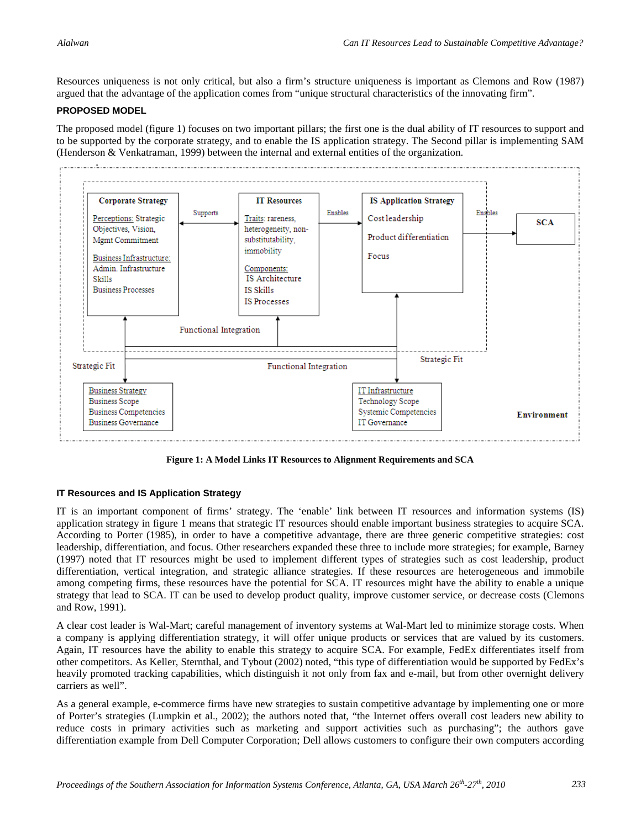Resources uniqueness is not only critical, but also a firm's structure uniqueness is important as Clemons and Row (1987) argued that the advantage of the application comes from "unique structural characteristics of the innovating firm".

#### **PROPOSED MODEL**

The proposed model (figure 1) focuses on two important pillars; the first one is the dual ability of IT resources to support and to be supported by the corporate strategy, and to enable the IS application strategy. The Second pillar is implementing SAM (Henderson & Venkatraman, 1999) between the internal and external entities of the organization.



**Figure 1: A Model Links IT Resources to Alignment Requirements and SCA**

#### **IT Resources and IS Application Strategy**

IT is an important component of firms' strategy. The 'enable' link between IT resources and information systems (IS) application strategy in figure 1 means that strategic IT resources should enable important business strategies to acquire SCA. According to Porter (1985), in order to have a competitive advantage, there are three generic competitive strategies: cost leadership, differentiation, and focus. Other researchers expanded these three to include more strategies; for example, Barney (1997) noted that IT resources might be used to implement different types of strategies such as cost leadership, product differentiation, vertical integration, and strategic alliance strategies. If these resources are heterogeneous and immobile among competing firms, these resources have the potential for SCA. IT resources might have the ability to enable a unique strategy that lead to SCA. IT can be used to develop product quality, improve customer service, or decrease costs (Clemons and Row, 1991).

A clear cost leader is Wal-Mart; careful management of inventory systems at Wal-Mart led to minimize storage costs. When a company is applying differentiation strategy, it will offer unique products or services that are valued by its customers. Again, IT resources have the ability to enable this strategy to acquire SCA. For example, FedEx differentiates itself from other competitors. As Keller, Sternthal, and Tybout (2002) noted, "this type of differentiation would be supported by FedEx's heavily promoted tracking capabilities, which distinguish it not only from fax and e-mail, but from other overnight delivery carriers as well".

As a general example, e-commerce firms have new strategies to sustain competitive advantage by implementing one or more of Porter's strategies (Lumpkin et al., 2002); the authors noted that, "the Internet offers overall cost leaders new ability to reduce costs in primary activities such as marketing and support activities such as purchasing"; the authors gave differentiation example from Dell Computer Corporation; Dell allows customers to configure their own computers according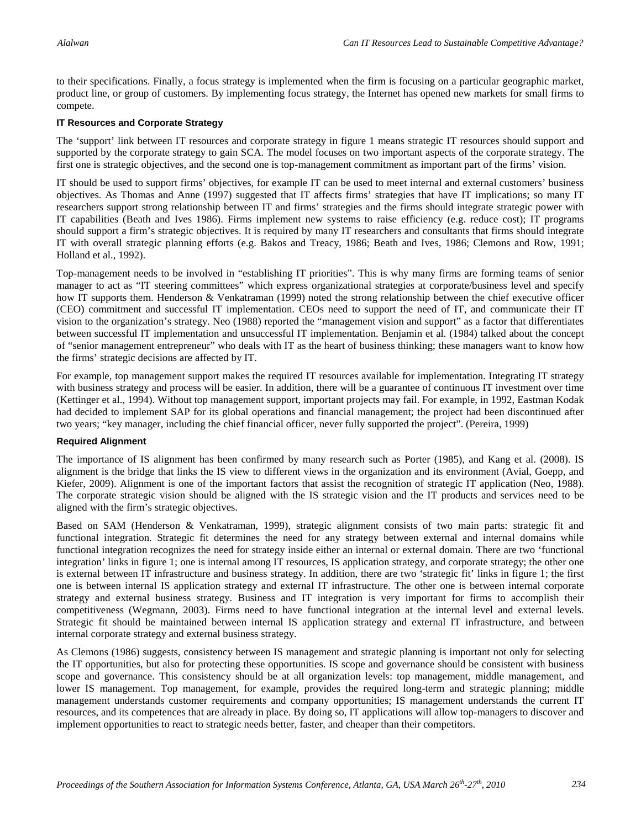to their specifications. Finally, a focus strategy is implemented when the firm is focusing on a particular geographic market, product line, or group of customers. By implementing focus strategy, the Internet has opened new markets for small firms to compete.

#### **IT Resources and Corporate Strategy**

The 'support' link between IT resources and corporate strategy in figure 1 means strategic IT resources should support and supported by the corporate strategy to gain SCA. The model focuses on two important aspects of the corporate strategy. The first one is strategic objectives, and the second one is top-management commitment as important part of the firms' vision.

IT should be used to support firms' objectives, for example IT can be used to meet internal and external customers' business objectives. As Thomas and Anne (1997) suggested that IT affects firms' strategies that have IT implications; so many IT researchers support strong relationship between IT and firms' strategies and the firms should integrate strategic power with IT capabilities (Beath and Ives 1986). Firms implement new systems to raise efficiency (e.g. reduce cost); IT programs should support a firm's strategic objectives. It is required by many IT researchers and consultants that firms should integrate IT with overall strategic planning efforts (e.g. Bakos and Treacy, 1986; Beath and Ives, 1986; Clemons and Row, 1991; Holland et al., 1992).

Top-management needs to be involved in "establishing IT priorities". This is why many firms are forming teams of senior manager to act as "IT steering committees" which express organizational strategies at corporate/business level and specify how IT supports them. Henderson & Venkatraman (1999) noted the strong relationship between the chief executive officer (CEO) commitment and successful IT implementation. CEOs need to support the need of IT, and communicate their IT vision to the organization's strategy. Neo (1988) reported the "management vision and support" as a factor that differentiates between successful IT implementation and unsuccessful IT implementation. Benjamin et al. (1984) talked about the concept of "senior management entrepreneur" who deals with IT as the heart of business thinking; these managers want to know how the firms' strategic decisions are affected by IT.

For example, top management support makes the required IT resources available for implementation. Integrating IT strategy with business strategy and process will be easier. In addition, there will be a guarantee of continuous IT investment over time (Kettinger et al., 1994). Without top management support, important projects may fail. For example, in 1992, Eastman Kodak had decided to implement SAP for its global operations and financial management; the project had been discontinued after two years; "key manager, including the chief financial officer, never fully supported the project". (Pereira, 1999)

#### **Required Alignment**

The importance of IS alignment has been confirmed by many research such as Porter (1985), and Kang et al. (2008). IS alignment is the bridge that links the IS view to different views in the organization and its environment (Avial, Goepp, and Kiefer, 2009). Alignment is one of the important factors that assist the recognition of strategic IT application (Neo, 1988). The corporate strategic vision should be aligned with the IS strategic vision and the IT products and services need to be aligned with the firm's strategic objectives.

Based on SAM (Henderson & Venkatraman, 1999), strategic alignment consists of two main parts: strategic fit and functional integration. Strategic fit determines the need for any strategy between external and internal domains while functional integration recognizes the need for strategy inside either an internal or external domain. There are two 'functional integration' links in figure 1; one is internal among IT resources, IS application strategy, and corporate strategy; the other one is external between IT infrastructure and business strategy. In addition, there are two 'strategic fit' links in figure 1; the first one is between internal IS application strategy and external IT infrastructure. The other one is between internal corporate strategy and external business strategy. Business and IT integration is very important for firms to accomplish their competitiveness (Wegmann, 2003). Firms need to have functional integration at the internal level and external levels. Strategic fit should be maintained between internal IS application strategy and external IT infrastructure, and between internal corporate strategy and external business strategy.

As Clemons (1986) suggests, consistency between IS management and strategic planning is important not only for selecting the IT opportunities, but also for protecting these opportunities. IS scope and governance should be consistent with business scope and governance. This consistency should be at all organization levels: top management, middle management, and lower IS management. Top management, for example, provides the required long-term and strategic planning; middle management understands customer requirements and company opportunities; IS management understands the current IT resources, and its competences that are already in place. By doing so, IT applications will allow top-managers to discover and implement opportunities to react to strategic needs better, faster, and cheaper than their competitors.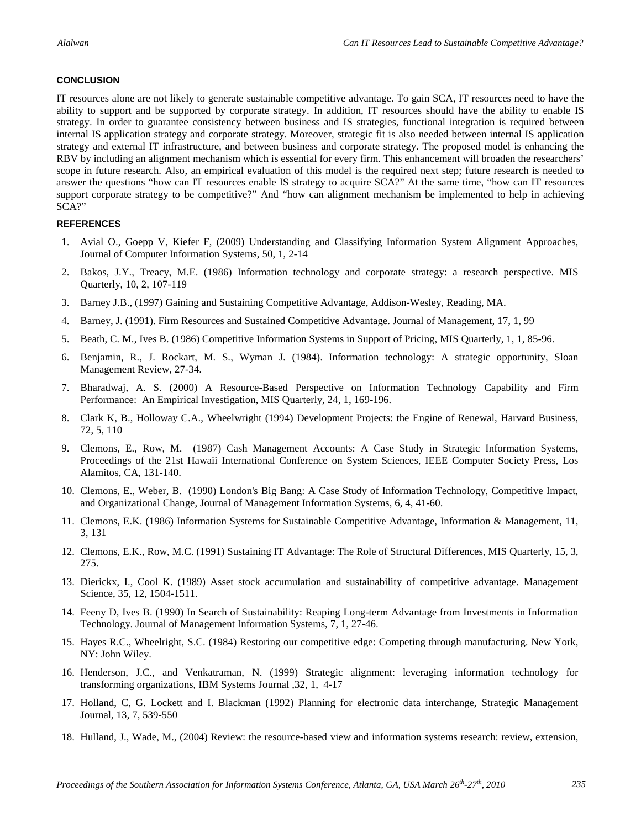#### **CONCLUSION**

IT resources alone are not likely to generate sustainable competitive advantage. To gain SCA, IT resources need to have the ability to support and be supported by corporate strategy. In addition, IT resources should have the ability to enable IS strategy. In order to guarantee consistency between business and IS strategies, functional integration is required between internal IS application strategy and corporate strategy. Moreover, strategic fit is also needed between internal IS application strategy and external IT infrastructure, and between business and corporate strategy. The proposed model is enhancing the RBV by including an alignment mechanism which is essential for every firm. This enhancement will broaden the researchers' scope in future research. Also, an empirical evaluation of this model is the required next step; future research is needed to answer the questions "how can IT resources enable IS strategy to acquire SCA?" At the same time, "how can IT resources support corporate strategy to be competitive?" And "how can alignment mechanism be implemented to help in achieving SCA?"

#### **REFERENCES**

- 1. Avial O., Goepp V, Kiefer F, (2009) Understanding and Classifying Information System Alignment Approaches, Journal of Computer Information Systems, 50, 1, 2-14
- 2. Bakos, J.Y., Treacy, M.E. (1986) Information technology and corporate strategy: a research perspective. MIS Quarterly, 10, 2, 107-119
- 3. Barney J.B., (1997) Gaining and Sustaining Competitive Advantage, Addison-Wesley, Reading, MA.
- 4. Barney, J. (1991). Firm Resources and Sustained Competitive Advantage. Journal of Management, 17, 1, 99
- 5. Beath, C. M., Ives B. (1986) Competitive Information Systems in Support of Pricing, MIS Quarterly, 1, 1, 85-96.
- 6. Benjamin, R., J. Rockart, M. S., Wyman J. (1984). Information technology: A strategic opportunity, Sloan Management Review, 27-34.
- 7. Bharadwaj, A. S. (2000) A Resource-Based Perspective on Information Technology Capability and Firm Performance: An Empirical Investigation, MIS Quarterly, 24, 1, 169-196.
- 8. Clark K, B., Holloway C.A., Wheelwright (1994) Development Projects: the Engine of Renewal, Harvard Business, 72, 5, 110
- 9. Clemons, E., Row, M. (1987) Cash Management Accounts: A Case Study in Strategic Information Systems, Proceedings of the 21st Hawaii International Conference on System Sciences, IEEE Computer Society Press, Los Alamitos, CA, 131-140.
- 10. Clemons, E., Weber, B. (1990) London's Big Bang: A Case Study of Information Technology, Competitive Impact, and Organizational Change, Journal of Management Information Systems, 6, 4, 41-60.
- 11. Clemons, E.K. (1986) Information Systems for Sustainable Competitive Advantage, Information & Management, 11, 3, 131
- 12. Clemons, E.K., Row, M.C. (1991) Sustaining IT Advantage: The Role of Structural Differences, MIS Quarterly, 15, 3, 275.
- 13. Dierickx, I., Cool K. (1989) Asset stock accumulation and sustainability of competitive advantage. Management Science, 35, 12, 1504-1511.
- 14. Feeny D, Ives B. (1990) In Search of Sustainability: Reaping Long-term Advantage from Investments in Information Technology. Journal of Management Information Systems, 7, 1, 27-46.
- 15. Hayes R.C., Wheelright, S.C. (1984) Restoring our competitive edge: Competing through manufacturing. New York, NY: John Wiley.
- 16. Henderson, J.C., and Venkatraman, N. (1999) Strategic alignment: leveraging information technology for transforming organizations, IBM Systems Journal ,32, 1, 4-17
- 17. Holland, C, G. Lockett and I. Blackman (1992) Planning for electronic data interchange, Strategic Management Journal, 13, 7, 539-550
- 18. Hulland, J., Wade, M., (2004) Review: the resource-based view and information systems research: review, extension,